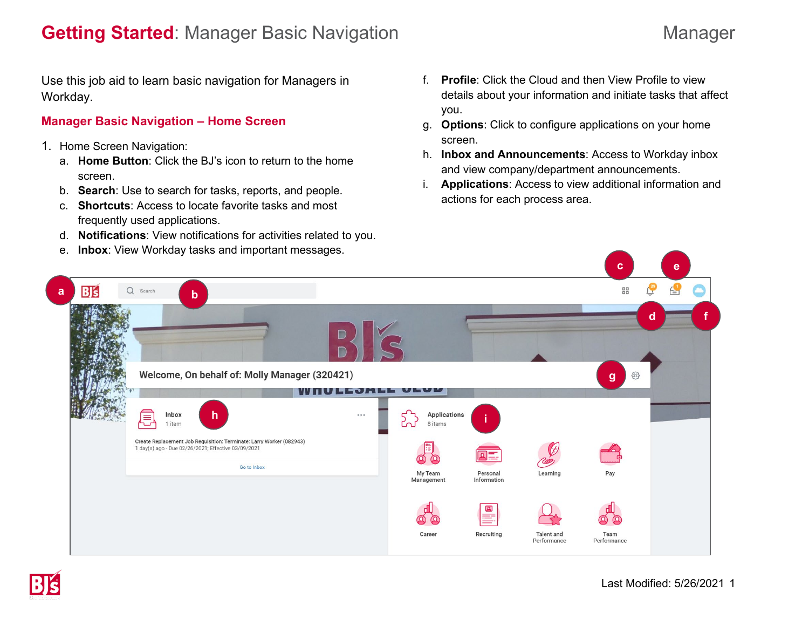# **Getting Started**: Manager Basic Navigation Manager Manager

Use this job aid to learn basic navigation for Managers in Workday.

#### **Manager Basic Navigation – Home Screen**

- 1. Home Screen Navigation:
	- a. **Home Button**: Click the BJ's icon to return to the home screen.
	- b. **Search**: Use to search for tasks, reports, and people.
	- c. **Shortcuts**: Access to locate favorite tasks and most frequently used applications.
	- d. **Notifications**: View notifications for activities related to you.
	- e. **Inbox**: View Workday tasks and important messages.
- f. **Profile**: Click the Cloud and then View Profile to view details about your information and initiate tasks that affect you.
- g. **Options**: Click to configure applications on your home screen.
- h. **Inbox and Announcements**: Access to Workday inbox and view company/department announcements.
- i. **Applications**: Access to view additional information and actions for each process area.

|                                                                                                                                                                                                                                              |                                                                           |                                                       |                                       | <b>C</b>                                          |                | e |  |
|----------------------------------------------------------------------------------------------------------------------------------------------------------------------------------------------------------------------------------------------|---------------------------------------------------------------------------|-------------------------------------------------------|---------------------------------------|---------------------------------------------------|----------------|---|--|
| <b>B</b> <sub>is</sub><br>$Q$ Search<br>$\mathbf{a}$<br>$\mathbf b$                                                                                                                                                                          |                                                                           |                                                       |                                       | 멻                                                 | $\mathbb{C}^3$ | 合 |  |
| Welcome, On behalf of: Molly Manager (320421)<br>$\mathsf{h}$<br>Inbox<br>0.0.0<br>厚<br>1 item<br>Create Replacement Job Requisition: Terminate: Larry Worker (082943)<br>1 day(s) ago - Due 02/26/2021; Effective 03/09/2021<br>Go to Inbox | <b>Applications</b><br>8 items<br>ro I<br>My Team<br>Management<br>Career | Personal<br>Information<br>$\mathbf{P}$<br>Recruiting | Learning<br>Talent and<br>Performance | 503<br>$\mathbf{g}$<br>Pay<br>Team<br>Performance | $\mathbf d$    |   |  |

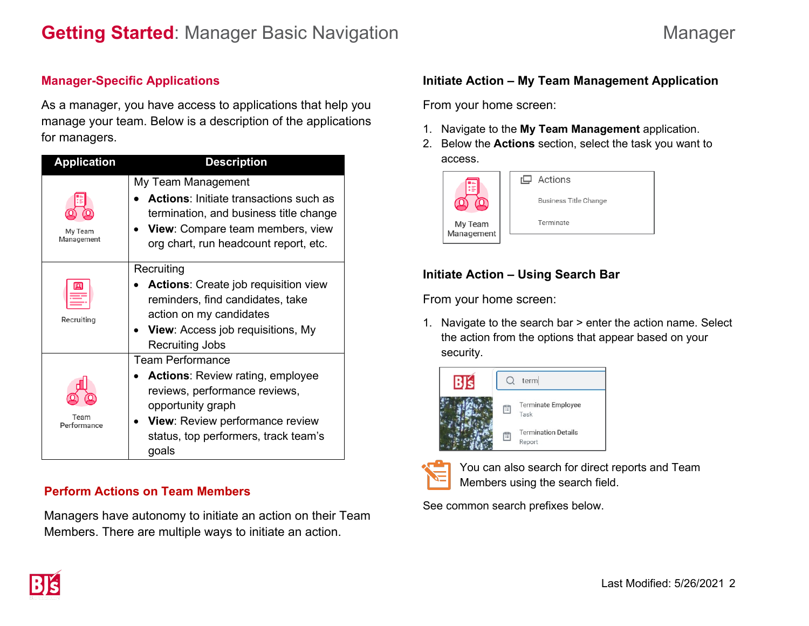#### **Manager-Specific Applications**

As a manager, you have access to applications that help you manage your team. Below is a description of the applications for managers.

| <b>Application</b>    | <b>Description</b>                                                                                                                                                                                                  |  |  |
|-----------------------|---------------------------------------------------------------------------------------------------------------------------------------------------------------------------------------------------------------------|--|--|
| My Team<br>Management | My Team Management<br><b>Actions:</b> Initiate transactions such as<br>termination, and business title change<br>View: Compare team members, view<br>org chart, run headcount report, etc.                          |  |  |
| Recruiting            | Recruiting<br><b>Actions:</b> Create job requisition view<br>reminders, find candidates, take<br>action on my candidates<br><b>View:</b> Access job requisitions, My<br><b>Recruiting Jobs</b>                      |  |  |
| Team<br>Performance   | <b>Team Performance</b><br><b>Actions: Review rating, employee</b><br>reviews, performance reviews,<br>opportunity graph<br><b>View: Review performance review</b><br>status, top performers, track team's<br>goals |  |  |

### **Perform Actions on Team Members**

Managers have autonomy to initiate an action on their Team Members. There are multiple ways to initiate an action.

#### **Initiate Action – My Team Management Application**

From your home screen:

- 1. Navigate to the **My Team Management** application.
- 2. Below the **Actions** section, select the task you want to access.



### **Initiate Action – Using Search Bar**

From your home screen:

1. Navigate to the search bar > enter the action name. Select the action from the options that appear based on your security.





You can also search for direct reports and Team Members using the search field.

See common search prefixes below.

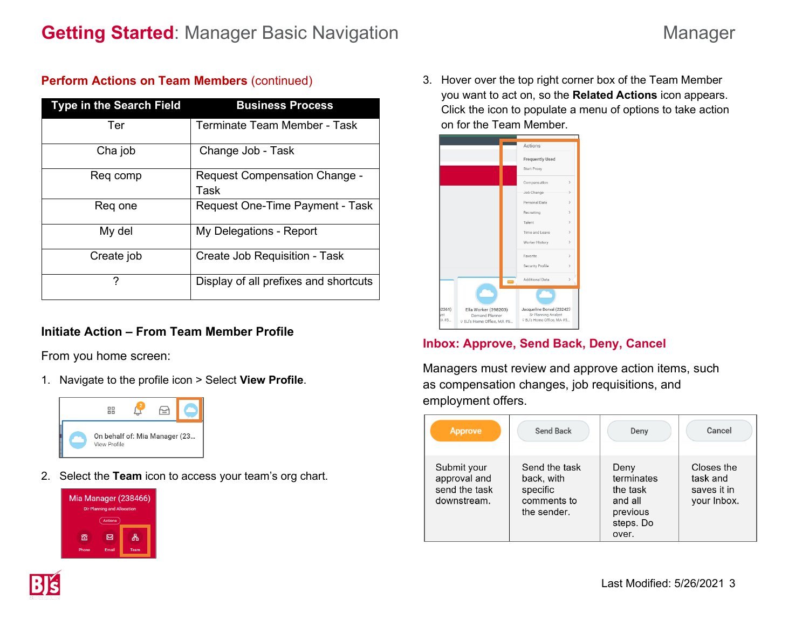| <b>Type in the Search Field</b> | <b>Business Process</b>                      |
|---------------------------------|----------------------------------------------|
| Ter                             | Terminate Team Member - Task                 |
| Cha job                         | Change Job - Task                            |
| Reg comp                        | <b>Request Compensation Change -</b><br>Task |
| Reg one                         | Request One-Time Payment - Task              |
| My del                          | My Delegations - Report                      |
| Create job                      | Create Job Requisition - Task                |
| 7                               | Display of all prefixes and shortcuts        |

# **Perform Actions on Team Members (continued)**

# **Initiate Action – From Team Member Profile**

From you home screen:

1. Navigate to the profile icon > Select **View Profile**.



2. Select the **Team** icon to access your team's org chart.



3. Hover over the top right corner box of the Team Member you want to act on, so the **Related Actions** icon appears. Click the icon to populate a menu of options to take action on for the Team Member.



# **Inbox: Approve, Send Back, Deny, Cancel**

Managers must review and approve action items, such as compensation changes, job requisitions, and employment offers.

| <b>Approve</b>                                              | <b>Send Back</b>                                                      | Deny                                                                        | Cancel                                               |
|-------------------------------------------------------------|-----------------------------------------------------------------------|-----------------------------------------------------------------------------|------------------------------------------------------|
| Submit your<br>approval and<br>send the task<br>downstream. | Send the task<br>back, with<br>specific<br>comments to<br>the sender. | Deny<br>terminates<br>the task<br>and all<br>previous<br>steps. Do<br>over. | Closes the<br>task and<br>saves it in<br>your Inbox. |